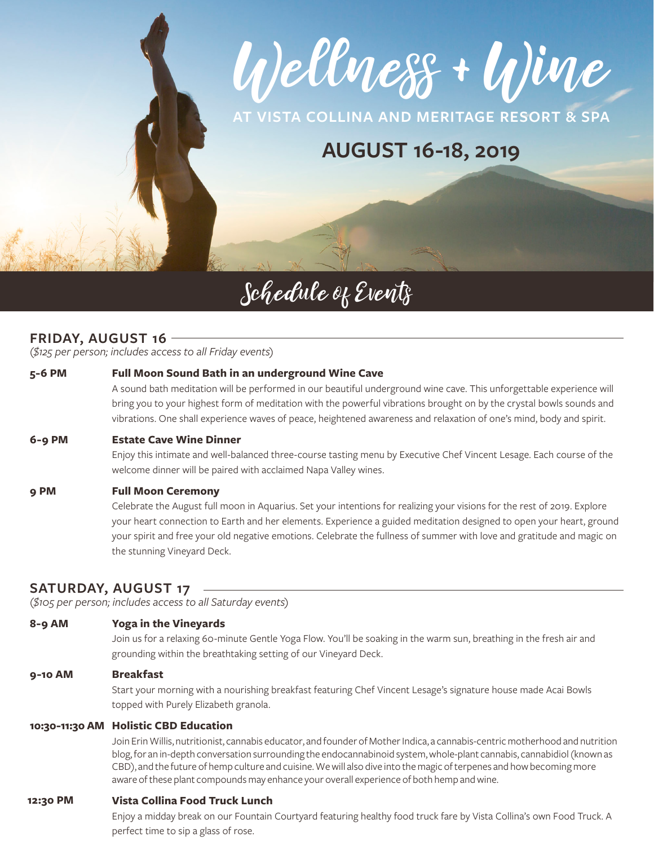Wellness + Wine

**AT VISTA COLLINA AND MERITAGE RESORT & SPA**

# **AUGUST 16-18, 2019**

# Schedule of Events

# **FRIDAY, AUGUST 16**

*(\$125 per person; includes access to all Friday events)*

# **5-6 PM Full Moon Sound Bath in an underground Wine Cave**

A sound bath meditation will be performed in our beautiful underground wine cave. This unforgettable experience will bring you to your highest form of meditation with the powerful vibrations brought on by the crystal bowls sounds and vibrations. One shall experience waves of peace, heightened awareness and relaxation of one's mind, body and spirit.

#### **6-9 PM Estate Cave Wine Dinner**

Enjoy this intimate and well-balanced three-course tasting menu by Executive Chef Vincent Lesage. Each course of the welcome dinner will be paired with acclaimed Napa Valley wines.

# **9 PM Full Moon Ceremony**

Celebrate the August full moon in Aquarius. Set your intentions for realizing your visions for the rest of 2019. Explore your heart connection to Earth and her elements. Experience a guided meditation designed to open your heart, ground your spirit and free your old negative emotions. Celebrate the fullness of summer with love and gratitude and magic on the stunning Vineyard Deck.

# **SATURDAY, AUGUST 17**

*(\$105 per person; includes access to all Saturday events)*

# **8-9 AM Yoga in the Vineyards**

Join us for a relaxing 60-minute Gentle Yoga Flow. You'll be soaking in the warm sun, breathing in the fresh air and grounding within the breathtaking setting of our Vineyard Deck.

# **9-10 AM Breakfast**

Start your morning with a nourishing breakfast featuring Chef Vincent Lesage's signature house made Acai Bowls topped with Purely Elizabeth granola.

# **10:30-11:30 AM Holistic CBD Education**

Join Erin Willis, nutritionist, cannabis educator, and founder of Mother Indica, a cannabis-centric motherhood and nutrition blog, for an in-depth conversation surrounding the endocannabinoid system, whole-plant cannabis, cannabidiol (known as CBD), and the future of hemp culture and cuisine. We will also dive into the magic of terpenes and how becoming more aware of these plant compounds may enhance your overall experience of both hemp and wine.

#### **12:30 PM Vista Collina Food Truck Lunch**

Enjoy a midday break on our Fountain Courtyard featuring healthy food truck fare by Vista Collina's own Food Truck. A perfect time to sip a glass of rose.